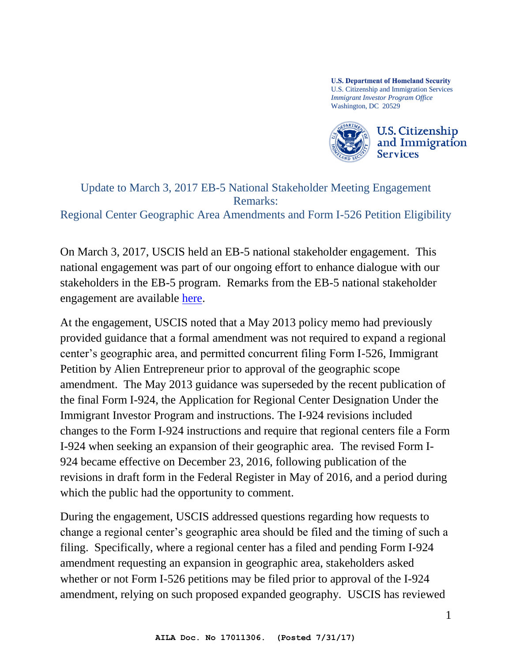**U.S. Department of Homeland Security** U.S. Citizenship and Immigration Services *Immigrant Investor Program Office*  Washington, DC 20529



## Update to March 3, 2017 EB-5 National Stakeholder Meeting Engagement Remarks:

Regional Center Geographic Area Amendments and Form I-526 Petition Eligibility

On March 3, 2017, USCIS held an EB-5 national stakeholder engagement. This national engagement was part of our ongoing effort to enhance dialogue with our stakeholders in the EB-5 program. Remarks from the EB-5 national stakeholder engagement are available [here.](https://www.uscis.gov/outreach/eb-5-immigrant-investor-program-0)

At the engagement, USCIS noted that a May 2013 policy memo had previously provided guidance that a formal amendment was not required to expand a regional center's geographic area, and permitted concurrent filing Form I-526, Immigrant Petition by Alien Entrepreneur prior to approval of the geographic scope amendment. The May 2013 guidance was superseded by the recent publication of the final Form I-924, the Application for Regional Center Designation Under the Immigrant Investor Program and instructions. The I-924 revisions included changes to the Form I-924 instructions and require that regional centers file a Form I-924 when seeking an expansion of their geographic area. The revised Form I-924 became effective on December 23, 2016, following publication of the revisions in draft form in the Federal Register in May of 2016, and a period during which the public had the opportunity to comment.

During the engagement, USCIS addressed questions regarding how requests to change a regional center's geographic area should be filed and the timing of such a filing. Specifically, where a regional center has a filed and pending Form I-924 amendment requesting an expansion in geographic area, stakeholders asked whether or not Form I-526 petitions may be filed prior to approval of the I-924 amendment, relying on such proposed expanded geography. USCIS has reviewed